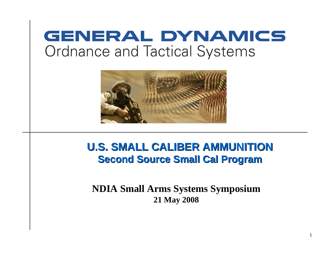# **GENERAL DYNAMICS Ordnance and Tactical Systems**



### **U.S. SMALL CALIBER AMMUNITIONU.S. SMALL CALIBER AMMUNITIONSecond Source Small Cal Program Second Source Small Cal Program**

#### **NDIA Small Arms Systems Symposium 21 May 2008**

1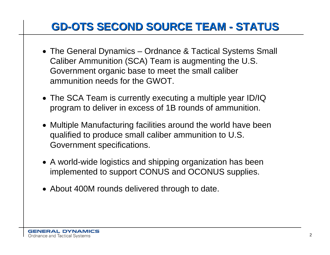# **GD-OTS SECOND SOURCE TEAM - STATUS GD-OTS SECOND SOURCE TEAM - STATUS**

- The General Dynamics Ordnance & Tactical Systems Small Caliber Ammunition (SCA) Team is augmenting the U.S. Government organic base to meet the small caliber ammunition needs for the GWOT.
- The SCA Team is currently executing a multiple year ID/IQ program to deliver in excess of 1B rounds of ammunition.
- Multiple Manufacturing facilities around the world have been qualified to produce small caliber ammunition to U.S. Government specifications.
- A world-wide logistics and shipping organization has been implemented to support CONUS and OCONUS supplies.
- About 400M rounds delivered through to date.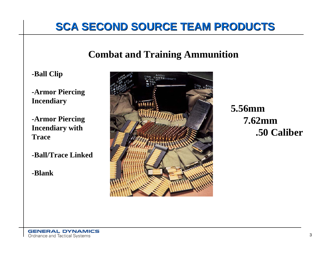## **SCA SECOND SOURCE TEAM PRODUCTS SCA SECOND SOURCE TEAM PRODUCTS**

### **Combat and Training Ammunition**

**-Ball Clip**

**-Armor Piercing Incendiary** 

**-Armor Piercing Incendiary with Trace**

**-Ball/Trace Linked** 

**-Blank**



**5.56mm7.62mm.50 Caliber**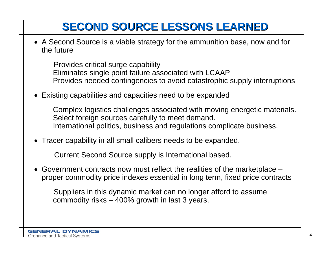# **SECOND SOURCE LESSONS LEARNED SECOND SOURCE LESSONS LEARNED**

• A Second Source is a viable strategy for the ammunition base, now and for the future

Provides critical surge capability Eliminates single point failure associated with LCAAP Provides needed contingencies to avoid catastrophic supply interruptions

• Existing capabilities and capacities need to be expanded

Complex logistics challenges associated with moving energetic materials. Select foreign sources carefully to meet demand. International politics, business and regulations complicate business.

• Tracer capability in all small calibers needs to be expanded.

Current Second Source supply is International based.

• Government contracts now must reflect the realities of the marketplace – proper commodity price indexes essential in long term, fixed price contracts

Suppliers in this dynamic market can no longer afford to assume commodity risks – 400% growth in last 3 years.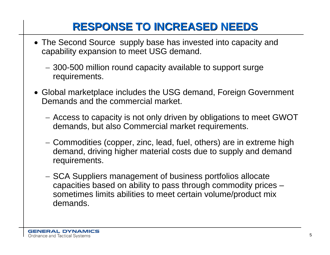# **RESPONSE TO INCREASED NEEDS RESPONSE TO INCREASED NEEDS**

- The Second Source supply base has invested into capacity and capability expansion to meet USG demand.
	- 300-500 million round capacity available to support surge requirements.
- Global marketplace includes the USG demand, Foreign Government Demands and the commercial market.
	- Access to capacity is not only driven by obligations to meet GWOT demands, but also Commercial market requirements.
	- Commodities (copper, zinc, lead, fuel, others) are in extreme high demand, driving higher material costs due to supply and demand requirements.
	- SCA Suppliers management of business portfolios allocate capacities based on ability to pass through commodity prices – sometimes limits abilities to meet certain volume/product mix demands.